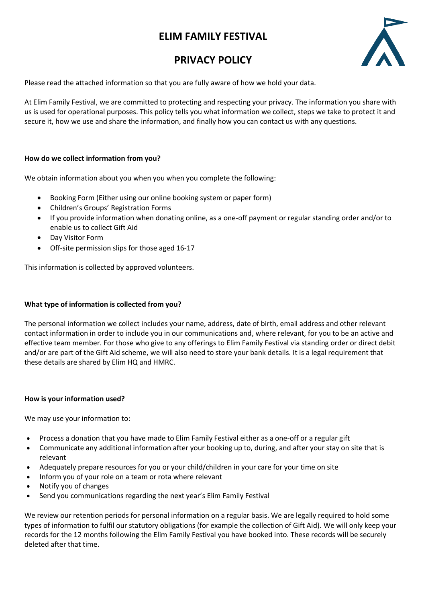# **ELIM FAMILY FESTIVAL**

# **PRIVACY POLICY**



Please read the attached information so that you are fully aware of how we hold your data.

At Elim Family Festival, we are committed to protecting and respecting your privacy. The information you share with us is used for operational purposes. This policy tells you what information we collect, steps we take to protect it and secure it, how we use and share the information, and finally how you can contact us with any questions.

### **How do we collect information from you?**

We obtain information about you when you when you complete the following:

- Booking Form (Either using our online booking system or paper form)
- Children's Groups' Registration Forms
- If you provide information when donating online, as a one-off payment or regular standing order and/or to enable us to collect Gift Aid
- Day Visitor Form
- Off-site permission slips for those aged 16-17

This information is collected by approved volunteers.

## **What type of information is collected from you?**

The personal information we collect includes your name, address, date of birth, email address and other relevant contact information in order to include you in our communications and, where relevant, for you to be an active and effective team member. For those who give to any offerings to Elim Family Festival via standing order or direct debit and/or are part of the Gift Aid scheme, we will also need to store your bank details. It is a legal requirement that these details are shared by Elim HQ and HMRC.

#### **How is your information used?**

We may use your information to:

- Process a donation that you have made to Elim Family Festival either as a one-off or a regular gift
- Communicate any additional information after your booking up to, during, and after your stay on site that is relevant
- Adequately prepare resources for you or your child/children in your care for your time on site
- Inform you of your role on a team or rota where relevant
- Notify you of changes
- Send you communications regarding the next year's Elim Family Festival

We review our retention periods for personal information on a regular basis. We are legally required to hold some types of information to fulfil our statutory obligations (for example the collection of Gift Aid). We will only keep your records for the 12 months following the Elim Family Festival you have booked into. These records will be securely deleted after that time.